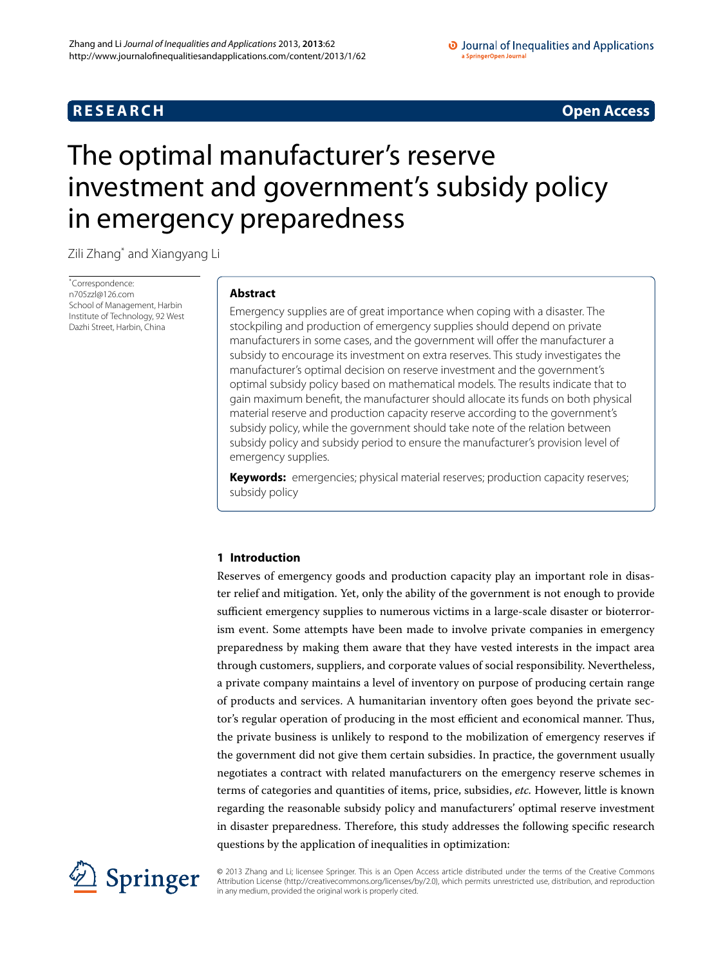## **RESEARCH CONSTRUCTER ACCESS**

#### O Journal of Inequalities and Applications a SpringerOpen Journa

# <span id="page-0-0"></span>The optimal manufacturer's reserve investment and government's subsidy policy in emergency preparedness

Zili Zhang[\\*](#page-0-0) and Xiangyang Li

\* Correspondence: [n705zzl@126.com](mailto:n705zzl@126.com) School of Management, Harbin Institute of Technology, 92 West Dazhi Street, Harbin, China

## **Abstract**

Emergency supplies are of great importance when coping with a disaster. The stockpiling and production of emergency supplies should depend on private manufacturers in some cases, and the government will offer the manufacturer a subsidy to encourage its investment on extra reserves. This study investigates the manufacturer's optimal decision on reserve investment and the government's optimal subsidy policy based on mathematical models. The results indicate that to gain maximum benefit, the manufacturer should allocate its funds on both physical material reserve and production capacity reserve according to the government's subsidy policy, while the government should take note of the relation between subsidy policy and subsidy period to ensure the manufacturer's provision level of emergency supplies.

**Keywords:** emergencies; physical material reserves; production capacity reserves; subsidy policy

## **1 Introduction**

Reserves of emergency goods and production capacity play an important role in disaster relief and mitigation. Yet, only the ability of the government is not enough to provide sufficient emergency supplies to numerous victims in a large-scale disaster or bioterrorism event. Some attempts have been made to involve private companies in emergency preparedness by making them aware that they have vested interests in the impact area through customers, suppliers, and corporate values of social responsibility. Nevertheless, a private company maintains a level of inventory on purpose of producing certain range of products and services. A humanitarian inventory often goes beyond the private sector's regular operation of producing in the most efficient and economical manner. Thus, the private business is unlikely to respond to the mobilization of emergency reserves if the government did not give them certain subsidies. In practice, the government usually negotiates a contract with related manufacturers on the emergency reserve schemes in terms of categories and quantities of items, price, subsidies, *etc.* However, little is known regarding the reasonable subsidy policy and manufacturers' optimal reserve investment in disaster preparedness. Therefore, this study addresses the following specific research questions by the application of inequalities in optimization:



© 2013 Zhang and Li; licensee Springer. This is an Open Access article distributed under the terms of the Creative Commons Attribution License [\(http://creativecommons.org/licenses/by/2.0](http://creativecommons.org/licenses/by/2.0)), which permits unrestricted use, distribution, and reproduction in any medium, provided the original work is properly cited.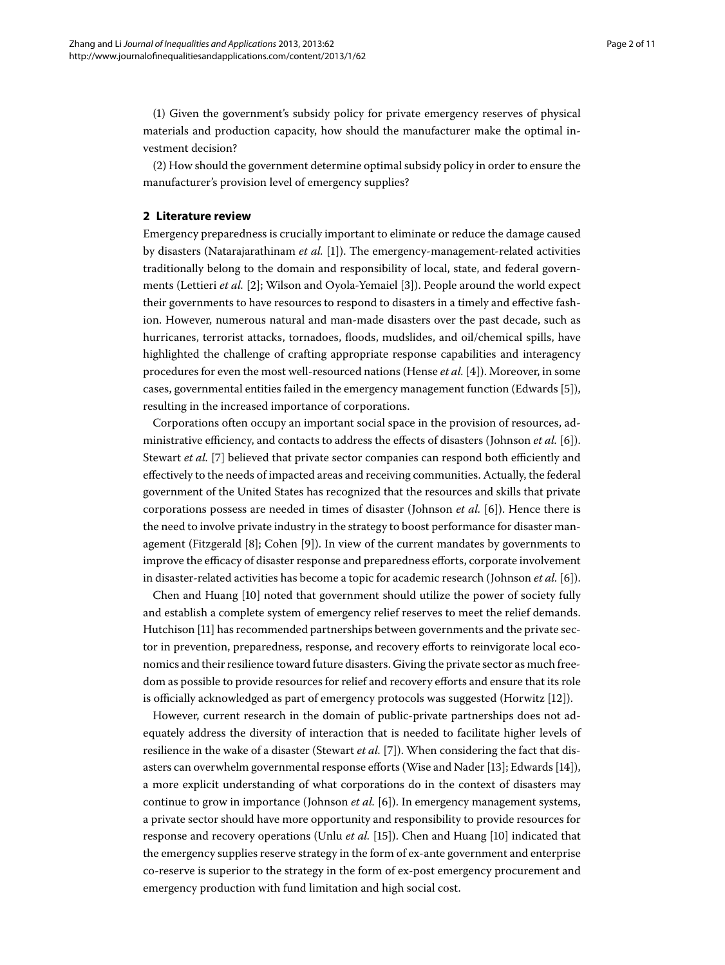() Given the government's subsidy policy for private emergency reserves of physical materials and production capacity, how should the manufacturer make the optimal investment decision?

(2) How should the government determine optimal subsidy policy in order to ensure the manufacturer's provision level of emergency supplies?

### **2 Literature review**

Emergency preparedness is crucially important to eliminate or reduce the damage caused by disasters (Natarajarathinam et al. [1[\]](#page-9-0)). The emergency-management-related activities traditionally belong to the domain and responsibility of local, state, and federal governments (Lettieri *et al.* [2[\]](#page-9-1); Wilson and Oyola-Yemaiel [\[](#page-9-2)3]). People around the world expect their governments to have resources to respond to disasters in a timely and effective fashion. However, numerous natural and man-made disasters over the past decade, such as hurricanes, terrorist attacks, tornadoes, floods, mudslides, and oil/chemical spills, have highlighted the challenge of crafting appropriate response capabilities and interagency procedures for even the most well-resourced nations (Hense *et al.* [\[](#page-9-3)4]). Moreover, in some cases, governmental entities failed in the emergency management function (Edwards [5[\]](#page-9-4)), resulting in the increased importance of corporations.

Corporations often occupy an important social space in the provision of resources, administrative efficiency, and contacts to address the effects of disasters (Johnson *et al.* [6]). Stewart *et al.* [7[\]](#page-9-6) believed that private sector companies can respond both efficiently and effectively to the needs of impacted areas and receiving communities. Actually, the federal government of the United States has recognized that the resources and skills that private corporations possess are needed in times of disaster (Johnson *et al.* [\[](#page-9-5)6]). Hence there is the need to involve private industry in the strategy to boost performance for disaster management (Fitzgerald  $[8]$  $[8]$ ; Cohen  $[9]$ ). In view of the current mandates by governments to improve the efficacy of disaster response and preparedness efforts, corporate involvement in disaster-related activities has become a topic for academic research (Johnson *et al.* [6]).

Chen and Huang [10[\]](#page-9-9) noted that government should utilize the power of society fully and establish a complete system of emergency relief reserves to meet the relief demands. Hutchison [\[](#page-9-10)11] has recommended partnerships between governments and the private sector in prevention, preparedness, response, and recovery efforts to reinvigorate local economics and their resilience toward future disasters. Giving the private sector as much freedom as possible to provide resources for relief and recovery efforts and ensure that its role is officially acknowledged as part of emergency protocols was suggested (Horwitz [\[](#page-9-11)12]).

However, current research in the domain of public-private partnerships does not adequately address the diversity of interaction that is needed to facilitate higher levels of resilience in the wake of a disaster (Stewart *et al.* [\[](#page-9-6)7]). When considering the fact that dis-asters can overwhelm governmental response efforts (Wise and Nader [\[](#page-10-0)13[\]](#page-10-1); Edwards [14]), a more explicit understanding of what corporations do in the context of disasters may continue to grow in importance (Johnson *et al.* [6]). In emergency management systems, a private sector should have more opportunity and responsibility to provide resources for response and recovery operations (Unlu *et al.* [15[\]](#page-9-9)). Chen and Huang [10] indicated that the emergency supplies reserve strategy in the form of ex-ante government and enterprise co-reserve is superior to the strategy in the form of ex-post emergency procurement and emergency production with fund limitation and high social cost.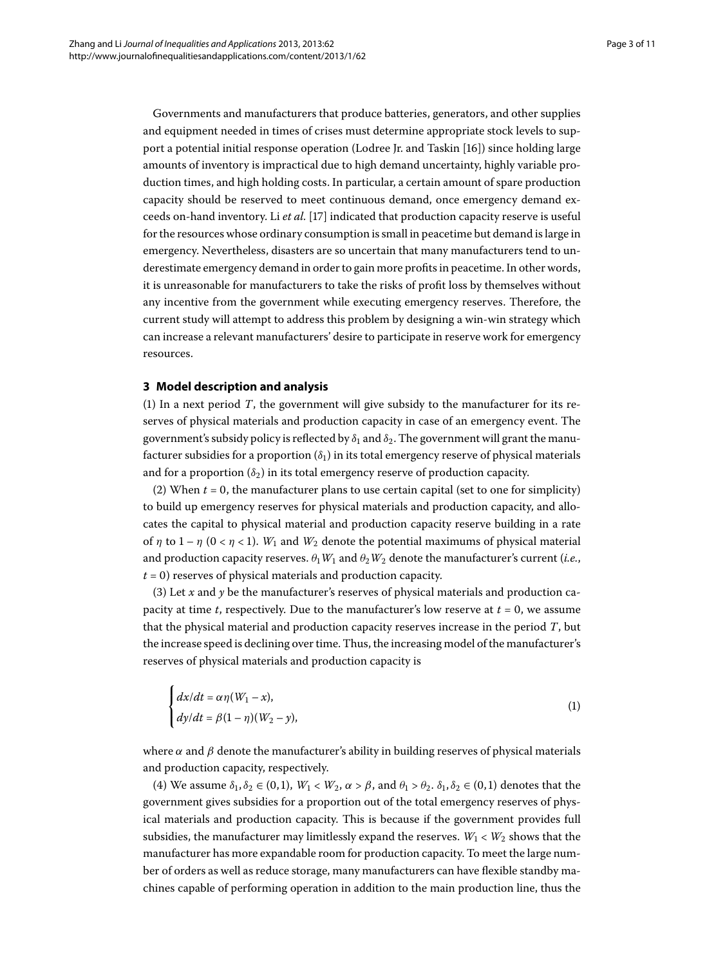Governments and manufacturers that produce batteries, generators, and other supplies and equipment needed in times of crises must determine appropriate stock levels to support a potential initial response operation (Lodree Jr. and Taskin [16]) since holding large amounts of inventory is impractical due to high demand uncertainty, highly variable production times, and high holding costs. In particular, a certain amount of spare production capacity should be reserved to meet continuous demand, once emergency demand exceeds on-hand inventory. Li et al. [17] indicated that production capacity reserve is useful for the resources whose ordinary consumption is small in peacetime but demand is large in emergency. Nevertheless, disasters are so uncertain that many manufacturers tend to underestimate emergency demand in order to gain more profits in peacetime. In other words, it is unreasonable for manufacturers to take the risks of profit loss by themselves without any incentive from the government while executing emergency reserves. Therefore, the current study will attempt to address this problem by designing a win-win strategy which can increase a relevant manufacturers' desire to participate in reserve work for emergency resources.

#### **3 Model description and analysis**

(1) In a next period  $T$ , the government will give subsidy to the manufacturer for its reserves of physical materials and production capacity in case of an emergency event. The government's subsidy policy is reflected by  $δ<sub>1</sub>$  and  $δ<sub>2</sub>$ . The government will grant the manufacturer subsidies for a proportion  $(\delta_1)$  in its total emergency reserve of physical materials and for a proportion  $(\delta_2)$  in its total emergency reserve of production capacity.

(2) When  $t = 0$ , the manufacturer plans to use certain capital (set to one for simplicity) to build up emergency reserves for physical materials and production capacity, and allocates the capital to physical material and production capacity reserve building in a rate of *η* to  $1 - η$  (0 < *η* < 1). *W*<sub>1</sub> and *W*<sub>2</sub> denote the potential maximums of physical material and production capacity reserves.  $\theta_1 W_1$  and  $\theta_2 W_2$  denote the manufacturer's current (*i.e.*,  $t = 0$ ) reserves of physical materials and production capacity.

(3) Let  $x$  and  $y$  be the manufacturer's reserves of physical materials and production capacity at time  $t$ , respectively. Due to the manufacturer's low reserve at  $t = 0$ , we assume that the physical material and production capacity reserves increase in the period *T*, but the increase speed is declining over time. Thus, the increasing model of the manufacturer's reserves of physical materials and production capacity is

<span id="page-2-0"></span>
$$
\begin{cases}\n dx/dt = \alpha \eta (W_1 - x), \\
 dy/dt = \beta (1 - \eta)(W_2 - y),\n\end{cases} (1)
$$

where  $\alpha$  and  $\beta$  denote the manufacturer's ability in building reserves of physical materials and production capacity, respectively.

(4) We assume  $\delta_1, \delta_2 \in (0,1)$ ,  $W_1 < W_2$ ,  $\alpha > \beta$ , and  $\theta_1 > \theta_2$ .  $\delta_1, \delta_2 \in (0,1)$  denotes that the government gives subsidies for a proportion out of the total emergency reserves of physical materials and production capacity. This is because if the government provides full subsidies, the manufacturer may limitlessly expand the reserves.  $W_1 < W_2$  shows that the manufacturer has more expandable room for production capacity. To meet the large number of orders as well as reduce storage, many manufacturers can have flexible standby machines capable of performing operation in addition to the main production line, thus the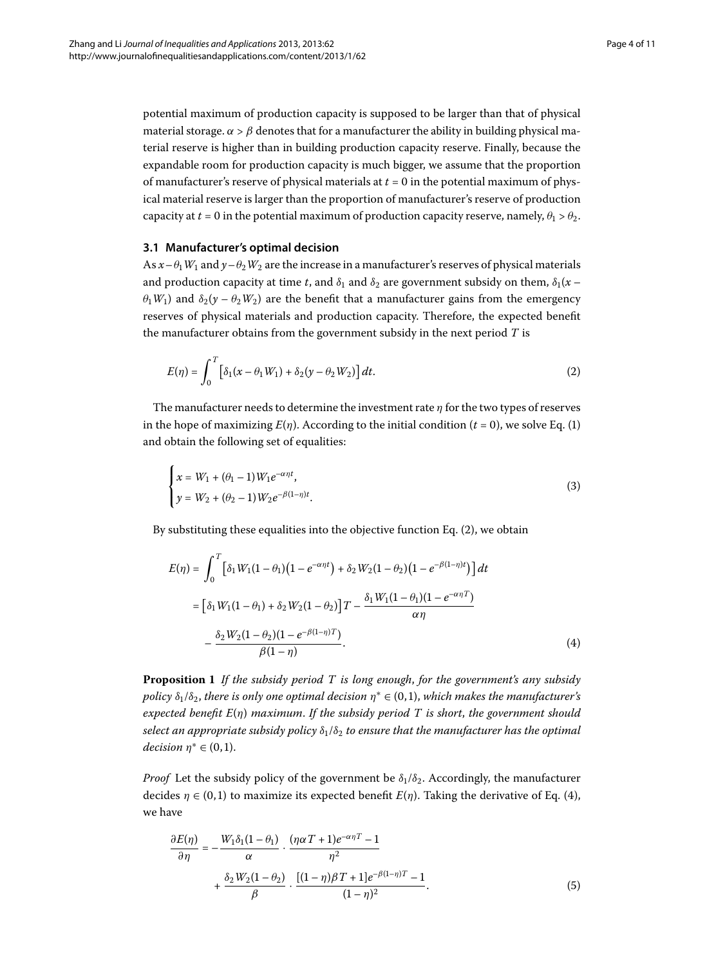potential maximum of production capacity is supposed to be larger than that of physical material storage.  $\alpha > \beta$  denotes that for a manufacturer the ability in building physical material reserve is higher than in building production capacity reserve. Finally, because the expandable room for production capacity is much bigger, we assume that the proportion of manufacturer's reserve of physical materials at  $t = 0$  in the potential maximum of physical material reserve is larger than the proportion of manufacturer's reserve of production capacity at  $t = 0$  in the potential maximum of production capacity reserve, namely,  $\theta_1 > \theta_2$ .

### **3.1 Manufacturer's optimal decision**

As  $x - \theta_1 W_1$  and  $y - \theta_2 W_2$  are the increase in a manufacturer's reserves of physical materials and production capacity at time *t*, and  $\delta_1$  and  $\delta_2$  are government subsidy on them,  $\delta_1(x - \delta_2)$  $\theta_1 W_1$ ) and  $\delta_2(y - \theta_2 W_2)$  are the benefit that a manufacturer gains from the emergency reserves of physical materials and production capacity. Therefore, the expected benefit the manufacturer obtains from the government subsidy in the next period *T* is

<span id="page-3-0"></span>
$$
E(\eta) = \int_0^T \left[ \delta_1(x - \theta_1 W_1) + \delta_2(y - \theta_2 W_2) \right] dt.
$$
 (2)

The manufacturer needs to determine the investment rate *η* for the two types of reserves in the hope of maximizing  $E(\eta)$ . According to the initial condition ( $t = 0$ ), we solve Eq. (1) and obtain the following set of equalities:

$$
\begin{cases}\n x = W_1 + (\theta_1 - 1) W_1 e^{-\alpha \eta t}, \\
 y = W_2 + (\theta_2 - 1) W_2 e^{-\beta (1 - \eta)t}.\n\end{cases}
$$
\n(3)

By substituting these equalities into the objective function Eq.  $(2)$  $(2)$ , we obtain

<span id="page-3-1"></span>
$$
E(\eta) = \int_0^T \left[ \delta_1 W_1 (1 - \theta_1) (1 - e^{-\alpha \eta t}) + \delta_2 W_2 (1 - \theta_2) (1 - e^{-\beta (1 - \eta)t}) \right] dt
$$
  
= 
$$
\left[ \delta_1 W_1 (1 - \theta_1) + \delta_2 W_2 (1 - \theta_2) \right] T - \frac{\delta_1 W_1 (1 - \theta_1) (1 - e^{-\alpha \eta T})}{\alpha \eta}
$$
  
- 
$$
\frac{\delta_2 W_2 (1 - \theta_2) (1 - e^{-\beta (1 - \eta)T})}{\beta (1 - \eta)}.
$$
 (4)

Proposition 1 If the subsidy period T is long enough, for the government's any subsidy *policy*  $\delta_1/\delta_2$ , *there is only one optimal decision*  $\eta^* \in (0,1)$ , *which makes the manufacturer's expected benefit E*(*η*) *maximum*. *If the subsidy period T is short*, *the government should select an appropriate subsidy policy*  $\delta_1/\delta_2$  *to ensure that the manufacturer has the optimal decision*  $\eta^* \in (0,1)$ .

*Proof* Let the subsidy policy of the government be  $\delta_1/\delta_2$ . Accordingly, the manufacturer decides  $\eta \in (0,1)$  to maximize its expected benefit  $E(\eta)$ . Taking the derivative of Eq. (4), we have

<span id="page-3-2"></span>
$$
\frac{\partial E(\eta)}{\partial \eta} = -\frac{W_1 \delta_1 (1 - \theta_1)}{\alpha} \cdot \frac{(\eta \alpha T + 1)e^{-\alpha \eta T} - 1}{\eta^2} + \frac{\delta_2 W_2 (1 - \theta_2)}{\beta} \cdot \frac{[(1 - \eta)\beta T + 1]e^{-\beta(1 - \eta)T} - 1}{(1 - \eta)^2}.
$$
\n(5)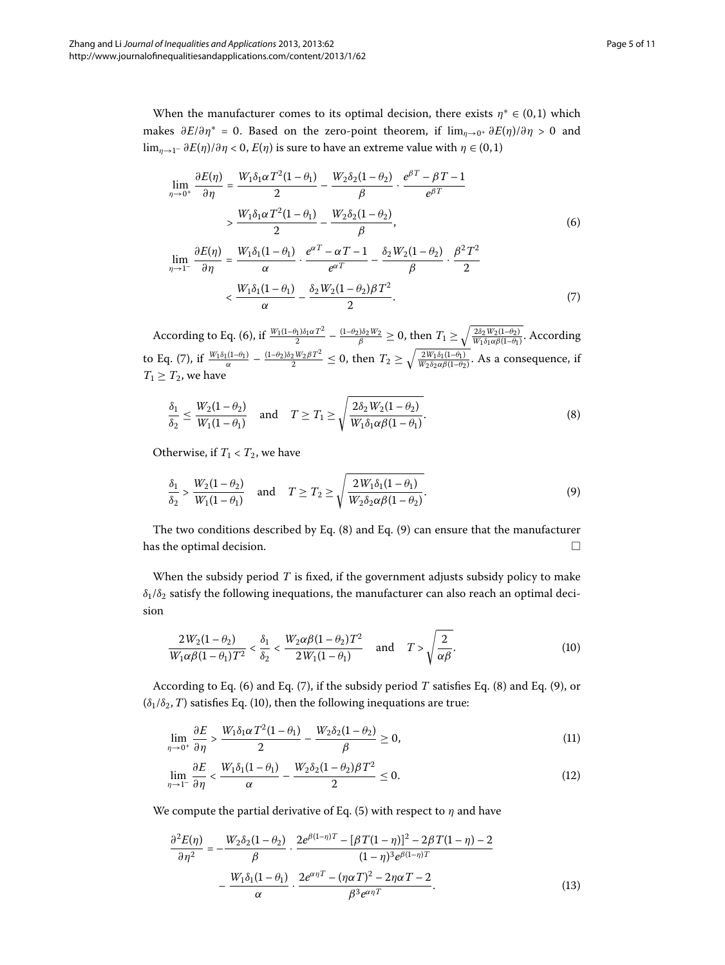<span id="page-4-1"></span><span id="page-4-0"></span>
$$
\lim_{\eta \to 0^{+}} \frac{\partial E(\eta)}{\partial \eta} = \frac{W_1 \delta_1 \alpha T^2 (1 - \theta_1)}{2} - \frac{W_2 \delta_2 (1 - \theta_2)}{\beta} \cdot \frac{e^{\beta T} - \beta T - 1}{e^{\beta T}}
$$
  
\n
$$
> \frac{W_1 \delta_1 \alpha T^2 (1 - \theta_1)}{2} - \frac{W_2 \delta_2 (1 - \theta_2)}{\beta},
$$
  
\n
$$
\lim_{\lambda \to 0^{+}} \frac{\partial E(\eta)}{\partial \eta} = \frac{W_1 \delta_1 (1 - \theta_1)}{2} - \frac{W_2 \delta_2 (1 - \theta_2)}{\beta},
$$
\n(6)

<span id="page-4-2"></span>
$$
\lim_{\eta \to 1^{-}} \frac{\partial E(\eta)}{\partial \eta} = \frac{W_1 \delta_1 (1 - \theta_1)}{\alpha} \cdot \frac{e^{\alpha T} - \alpha T - 1}{e^{\alpha T}} - \frac{\delta_2 W_2 (1 - \theta_2)}{\beta} \cdot \frac{\beta^2 T^2}{2}
$$

$$
< \frac{W_1 \delta_1 (1 - \theta_1)}{\alpha} - \frac{\delta_2 W_2 (1 - \theta_2) \beta T^2}{2}.
$$
(7)

 $\text{According to Eq. (6), if } \frac{W_1(1-\theta_1)\delta_1\alpha T^2}{2} - \frac{(1-\theta_2)\delta_2 W_2}{\beta} \ge 0, \text{ then } T_1 \ge \sqrt{\frac{2\delta_2 W_2(1-\theta_2)}{W_1\delta_1\alpha\beta(1-\theta_1)}}.$  According to Eq. [\(](#page-4-1)7), if  $\frac{W_1\delta_1(1-\theta_1)}{\alpha} - \frac{(1-\theta_2)\delta_2 W_2 \beta T^2}{2} \le 0$ , then  $T_2 \ge \sqrt{\frac{2W_1\delta_1(1-\theta_1)}{W_2\delta_2\alpha\beta(1-\theta_2)}}$ . As a consequence, if  $T_1 \geq T_2$ , we have

<span id="page-4-3"></span>
$$
\frac{\delta_1}{\delta_2} \le \frac{W_2(1-\theta_2)}{W_1(1-\theta_1)} \quad \text{and} \quad T \ge T_1 \ge \sqrt{\frac{2\delta_2 W_2(1-\theta_2)}{W_1 \delta_1 \alpha \beta (1-\theta_1)}}.
$$
\n(8)

Otherwise, if  $T_1 < T_2$ , we have

<span id="page-4-4"></span>
$$
\frac{\delta_1}{\delta_2} > \frac{W_2(1-\theta_2)}{W_1(1-\theta_1)} \quad \text{and} \quad T \ge T_2 \ge \sqrt{\frac{2W_1\delta_1(1-\theta_1)}{W_2\delta_2\alpha\beta(1-\theta_2)}}.
$$
\n
$$
(9)
$$

The two conditions described by Eq.  $(8)$  $(8)$  and Eq.  $(9)$  $(9)$  can ensure that the manufacturer has the optimal decision.  $\Box$ 

When the subsidy period *T* is fixed, if the government adjusts subsidy policy to make  $\delta_1/\delta_2$  satisfy the following inequations, the manufacturer can also reach an optimal decision

<span id="page-4-7"></span><span id="page-4-6"></span>
$$
\frac{2W_2(1-\theta_2)}{W_1\alpha\beta(1-\theta_1)T^2} < \frac{\delta_1}{\delta_2} < \frac{W_2\alpha\beta(1-\theta_2)T^2}{2W_1(1-\theta_1)} \quad \text{and} \quad T > \sqrt{\frac{2}{\alpha\beta}}.
$$
 (10)

According to Eq. [\(](#page-4-3)6) and Eq. (7), if the subsidy period *T* satisfies Eq. (8) and Eq. (9), or  $(\delta_1/\delta_2, T)$  $(\delta_1/\delta_2, T)$  satisfies Eq. (10), then the following inequations are true:

$$
\lim_{\eta \to 0^+} \frac{\partial E}{\partial \eta} > \frac{W_1 \delta_1 \alpha T^2 (1 - \theta_1)}{2} - \frac{W_2 \delta_2 (1 - \theta_2)}{\beta} \ge 0,
$$
\n(11)

<span id="page-4-5"></span>
$$
\lim_{\eta \to 1^{-}} \frac{\partial E}{\partial \eta} < \frac{W_1 \delta_1 (1 - \theta_1)}{\alpha} - \frac{W_2 \delta_2 (1 - \theta_2) \beta T^2}{2} \le 0. \tag{12}
$$

We compute the partial derivative of Eq. (5[\)](#page-3-2) with respect to  $\eta$  and have

$$
\frac{\partial^2 E(\eta)}{\partial \eta^2} = -\frac{W_2 \delta_2 (1 - \theta_2)}{\beta} \cdot \frac{2e^{\beta (1 - \eta)T} - [\beta T (1 - \eta)]^2 - 2\beta T (1 - \eta) - 2}{(1 - \eta)^3 e^{\beta (1 - \eta)T}} - \frac{W_1 \delta_1 (1 - \theta_1)}{\alpha} \cdot \frac{2e^{\alpha \eta T} - (\eta \alpha T)^2 - 2\eta \alpha T - 2}{\beta^3 e^{\alpha \eta T}}.
$$
(13)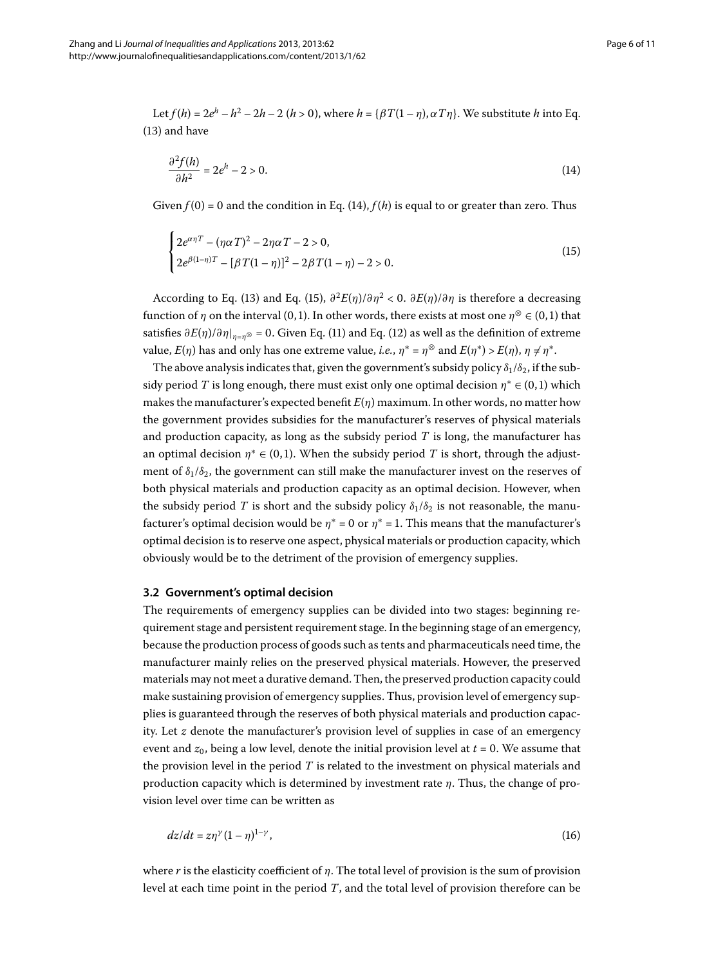Let 
$$
f(h) = 2e^h - h^2 - 2h - 2
$$
 ( $h > 0$ ), where  $h = \{\beta T(1 - \eta), \alpha T\eta\}$ . We substitute  $h$  into Eq. (13) and have

<span id="page-5-1"></span><span id="page-5-0"></span>
$$
\frac{\partial^2 f(h)}{\partial h^2} = 2e^h - 2 > 0. \tag{14}
$$

Given  $f(0) = 0$  $f(0) = 0$  $f(0) = 0$  and the condition in Eq. (14),  $f(h)$  is equal to or greater than zero. Thus

$$
\begin{cases} 2e^{\alpha\eta T} - (\eta\alpha T)^2 - 2\eta\alpha T - 2 > 0, \\ 2e^{\beta(1-\eta)T} - [\beta T(1-\eta)]^2 - 2\beta T(1-\eta) - 2 > 0. \end{cases} \tag{15}
$$

According to Eq. [\(](#page-4-5)13[\)](#page-5-1) and Eq. (15),  $\partial^2 E(\eta)/\partial \eta^2 < 0$ .  $\partial E(\eta)/\partial \eta$  is therefore a decreasing function of *η* on the interval (0, 1). In other words, there exists at most one  $\eta^{\otimes} \in (0,1)$  that satisfies  $\partial E(\eta)/\partial \eta|_{\eta=\eta}$  $\partial E(\eta)/\partial \eta|_{\eta=\eta}$  $\partial E(\eta)/\partial \eta|_{\eta=\eta}$ ⊗ = 0. Given Eq. (11) and Eq. (12) as well as the definition of extreme value,  $E(\eta)$  has and only has one extreme value, *i.e.*,  $\eta^* = \eta^{\otimes}$  and  $E(\eta^*) > E(\eta)$ ,  $\eta \neq \eta^*$ .

The above analysis indicates that, given the government's subsidy policy  $\delta_1/\delta_2$ , if the subsidy period *T* is long enough, there must exist only one optimal decision  $\eta^* \in (0,1)$  which makes the manufacturer's expected benefit  $E(\eta)$  maximum. In other words, no matter how the government provides subsidies for the manufacturer's reserves of physical materials and production capacity, as long as the subsidy period *T* is long, the manufacturer has an optimal decision  $\eta^* \in (0,1)$ . When the subsidy period *T* is short, through the adjustment of  $\delta_1/\delta_2$ , the government can still make the manufacturer invest on the reserves of both physical materials and production capacity as an optimal decision. However, when the subsidy period *T* is short and the subsidy policy  $\delta_1/\delta_2$  is not reasonable, the manufacturer's optimal decision would be  $\eta^* = 0$  or  $\eta^* = 1$ . This means that the manufacturer's optimal decision is to reserve one aspect, physical materials or production capacity, which obviously would be to the detriment of the provision of emergency supplies.

#### **3.2 Government's optimal decision**

The requirements of emergency supplies can be divided into two stages: beginning requirement stage and persistent requirement stage. In the beginning stage of an emergency, because the production process of goods such as tents and pharmaceuticals need time, the manufacturer mainly relies on the preserved physical materials. However, the preserved materials may not meet a durative demand. Then, the preserved production capacity could make sustaining provision of emergency supplies. Thus, provision level of emergency supplies is guaranteed through the reserves of both physical materials and production capacity. Let *z* denote the manufacturer's provision level of supplies in case of an emergency event and  $z_0$ , being a low level, denote the initial provision level at  $t = 0$ . We assume that the provision level in the period *T* is related to the investment on physical materials and production capacity which is determined by investment rate *η*. Thus, the change of provision level over time can be written as

<span id="page-5-2"></span>
$$
dz/dt = z\eta^{\gamma}(1-\eta)^{1-\gamma},\tag{16}
$$

where *r* is the elasticity coefficient of *η*. The total level of provision is the sum of provision level at each time point in the period *T*, and the total level of provision therefore can be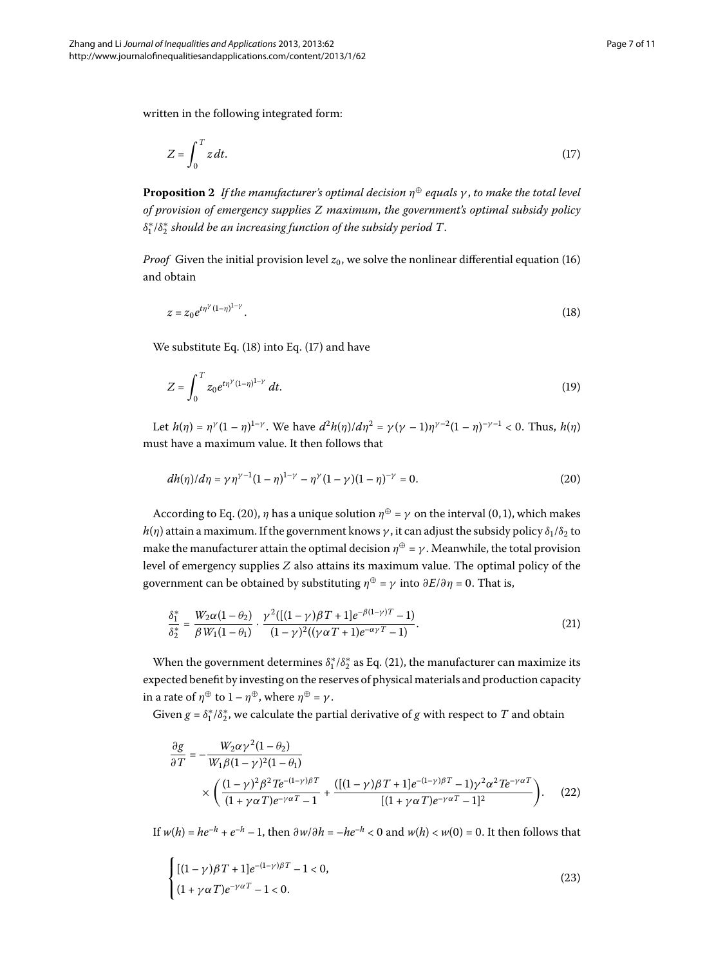written in the following integrated form:

<span id="page-6-1"></span><span id="page-6-0"></span>
$$
Z = \int_0^T z \, dt. \tag{17}
$$

**Proposition 2** *If the manufacturer's optimal decision*  $\eta^{\oplus}$  *equals*  $\gamma$ , *to make the total level of provision of emergency supplies Z maximum*, *the government's optimal subsidy policy δ*∗ /*δ*<sup>∗</sup> *should be an increasing function of the subsidy period T*.

*Proof* Given the initial provision level  $z_0$ , we solve the nonlinear differential equation (16) and obtain

$$
z = z_0 e^{t\eta^{\gamma}(1-\eta)^{1-\gamma}}.
$$
\n<sup>(18)</sup>

We substitute Eq.  $(18)$  $(18)$  into Eq.  $(17)$  and have

<span id="page-6-2"></span>
$$
Z = \int_0^T z_0 e^{t\eta^{\gamma} (1-\eta)^{1-\gamma}} dt.
$$
 (19)

Let  $h(\eta) = \eta^{\gamma}(1-\eta)^{1-\gamma}$ . We have  $d^2h(\eta)/d\eta^2 = \gamma(\gamma-1)\eta^{\gamma-2}(1-\eta)^{-\gamma-1} < 0$ . Thus,  $h(\eta)$ must have a maximum value. It then follows that

<span id="page-6-3"></span>
$$
dh(\eta)/d\eta = \gamma \eta^{\gamma-1} (1-\eta)^{1-\gamma} - \eta^{\gamma} (1-\gamma)(1-\eta)^{-\gamma} = 0.
$$
 (20)

According to Eq. (20), *η* has a unique solution  $\eta^{\oplus} = \gamma$  on the interval (0, 1), which makes  $h(\eta)$  attain a maximum. If the government knows  $\gamma$ , it can adjust the subsidy policy  $\delta_1/\delta_2$  to make the manufacturer attain the optimal decision  $\eta^{\oplus} = \gamma$ . Meanwhile, the total provision level of emergency supplies *Z* also attains its maximum value. The optimal policy of the government can be obtained by substituting  $\eta^{\oplus} = \gamma$  into  $\partial E/\partial \eta = 0$ . That is,

$$
\frac{\delta_1^*}{\delta_2^*} = \frac{W_2 \alpha (1 - \theta_2)}{\beta W_1 (1 - \theta_1)} \cdot \frac{\gamma^2 ([(1 - \gamma)\beta T + 1]e^{-\beta (1 - \gamma)T} - 1)}{(1 - \gamma)^2 ((\gamma \alpha T + 1)e^{-\alpha \gamma T} - 1)}.
$$
\n(21)

When the government determines  $\delta_1^*/\delta_2^*$  as Eq. [\(](#page-6-3)21), the manufacturer can maximize its expected benefit by investing on the reserves of physical materials and production capacity in a rate of  $\eta^{\oplus}$  to  $1 - \eta^{\oplus}$ , where  $\eta^{\oplus} = \gamma$ .

Given  $g = \delta_1^* / \delta_2^*$ , we calculate the partial derivative of  $g$  with respect to  $T$  and obtain

<span id="page-6-5"></span><span id="page-6-4"></span>
$$
\frac{\partial g}{\partial T} = -\frac{W_2 \alpha \gamma^2 (1 - \theta_2)}{W_1 \beta (1 - \gamma)^2 (1 - \theta_1)} \times \left( \frac{(1 - \gamma)^2 \beta^2 T e^{-(1 - \gamma)\beta T}}{(1 + \gamma \alpha T) e^{-\gamma \alpha T} - 1} + \frac{([(1 - \gamma)\beta T + 1] e^{-(1 - \gamma)\beta T} - 1) \gamma^2 \alpha^2 T e^{-\gamma \alpha T}}{[(1 + \gamma \alpha T) e^{-\gamma \alpha T} - 1]^2} \right). \tag{22}
$$

If  $w(h) = he^{-h} + e^{-h} - 1$ , then  $\frac{\partial w}{\partial h} = -he^{-h} < 0$  and  $w(h) < w(0) = 0$ . It then follows that

$$
\begin{cases}\n[(1-\gamma)\beta T + 1]e^{-(1-\gamma)\beta T} - 1 < 0, \\
(1+\gamma\alpha T)e^{-\gamma\alpha T} - 1 < 0.\n\end{cases}
$$
\n(23)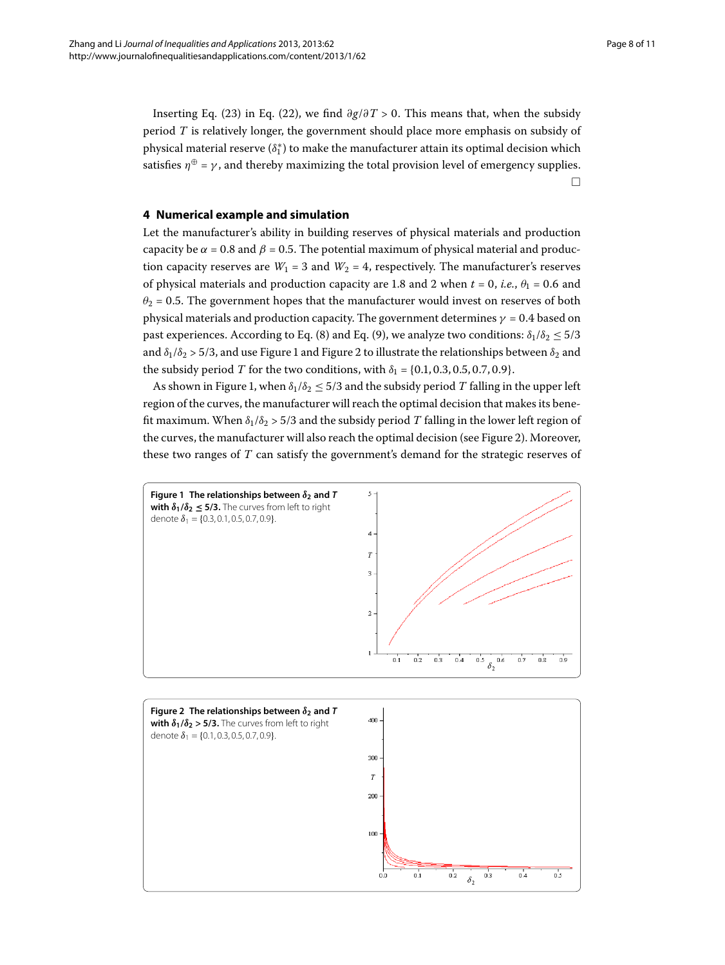$\Box$ 

Inserting Eq. [\(](#page-6-5)23) in Eq. (22), we find  $\partial g/\partial T > 0$ . This means that, when the subsidy period *T* is relatively longer, the government should place more emphasis on subsidy of physical material reserve ( $\delta^*_1$ ) to make the manufacturer attain its optimal decision which satisfies  $\eta^{\oplus} = \gamma$ , and thereby maximizing the total provision level of emergency supplies.

## **4 Numerical example and simulation**

Let the manufacturer's ability in building reserves of physical materials and production capacity be  $\alpha$  = 0.8 and  $\beta$  = 0.5. The potential maximum of physical material and production capacity reserves are  $W_1 = 3$  and  $W_2 = 4$ , respectively. The manufacturer's reserves of physical materials and production capacity are 1.8 and 2 when  $t = 0$ , *i.e.*,  $\theta_1 = 0.6$  and  $\theta_2$  = 0.5. The government hopes that the manufacturer would invest on reserves of both physical materials and production capacity. The government determines  $\gamma = 0.4$  based on past experiences. According to Eq. (8[\)](#page-4-3) and Eq. (9), we analyze two conditions:  $\delta_1/\delta_2 \leq 5/3$ and  $\delta_1/\delta_2 > 5/3$ , and use Figure 1 and Figure 2 to illustrate the relationships between  $\delta_2$  and the subsidy period *T* for the two conditions, with  $\delta_1 = \{0.1, 0.3, 0.5, 0.7, 0.9\}.$ 

As shown in Figure 1[,](#page-7-0) when  $\delta_1/\delta_2 \leq 5/3$  and the subsidy period *T* falling in the upper left region of the curves, the manufacturer will reach the optimal decision that makes its benefit maximum. When  $\delta_1/\delta_2 > 5/3$  and the subsidy period *T* falling in the lower left region of the curves, the manufacturer will also reach the optimal decision (see Figure 2). Moreover, these two ranges of *T* can satisfy the government's demand for the strategic reserves of

<span id="page-7-0"></span>

<span id="page-7-1"></span>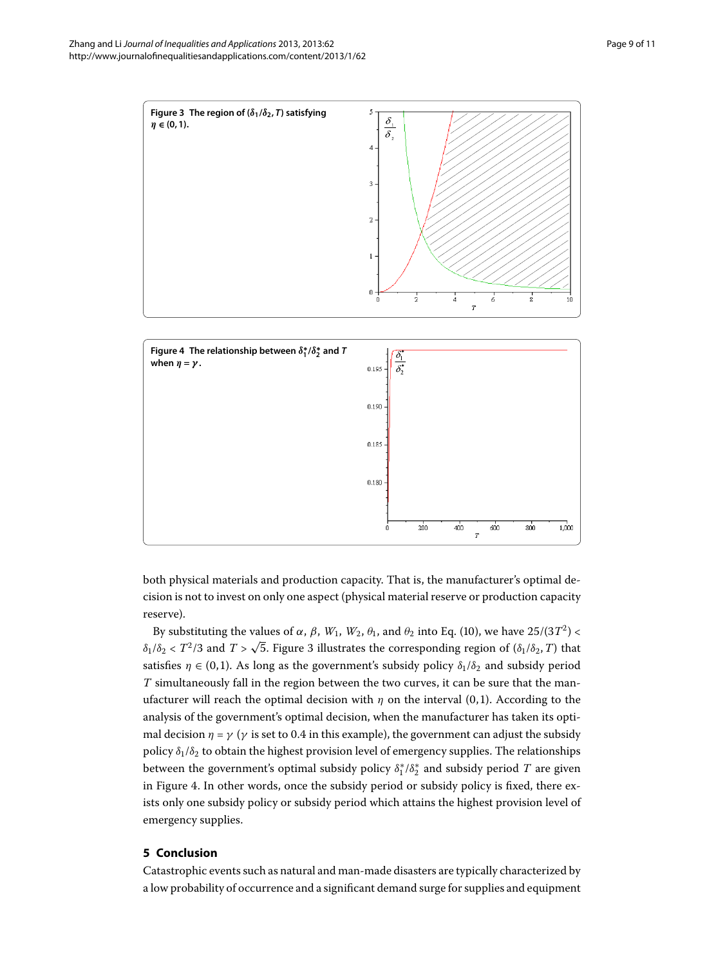<span id="page-8-0"></span>

<span id="page-8-1"></span>

both physical materials and production capacity. That is, the manufacturer's optimal decision is not to invest on only one aspect (physical material reserve or production capacity reserve).

By substituting the values of *α*, *β*, *W*<sub>1</sub>, *W*<sub>2</sub>, *θ*<sub>1</sub>, and *θ*<sub>2</sub> into Eq. (10), we have 25/(3T<sup>2</sup>) <  $\delta_1/\delta_2 < T^2/3$  and  $T > \sqrt{5}$ . Figure 3 illustrates the corresponding region of ( $\delta_1/\delta_2$ , *T*) that satisfies  $\eta \in (0, 1)$ . As long as the government's subsidy policy  $\delta_1/\delta_2$  and subsidy period *T* simultaneously fall in the region between the two curves, it can be sure that the manufacturer will reach the optimal decision with  $\eta$  on the interval (0,1). According to the analysis of the government's optimal decision, when the manufacturer has taken its optimal decision  $\eta = \gamma$  ( $\gamma$  is set to 0.4 in this example), the government can adjust the subsidy policy  $\delta_1/\delta_2$  to obtain the highest provision level of emergency supplies. The relationships between the government's optimal subsidy policy *δ*<sup>∗</sup> /*δ*<sup>∗</sup> and subsidy period *T* are given in Figure 4. In other words, once the subsidy period or subsidy policy is fixed, there exists only one subsidy policy or subsidy period which attains the highest provision level of emergency supplies.

## **5 Conclusion**

Catastrophic events such as natural and man-made disasters are typically characterized by a low probability of occurrence and a significant demand surge for supplies and equipment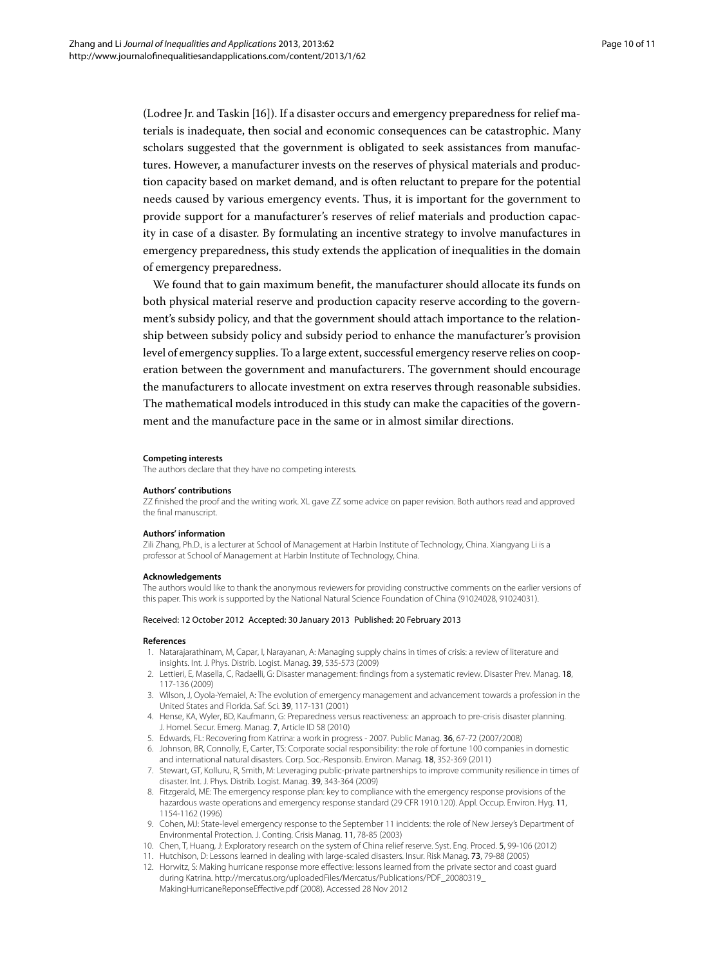(Lodree Jr. and Taskin [\[](#page-10-3)]). If a disaster occurs and emergency preparedness for relief materials is inadequate, then social and economic consequences can be catastrophic. Many scholars suggested that the government is obligated to seek assistances from manufactures. However, a manufacturer invests on the reserves of physical materials and production capacity based on market demand, and is often reluctant to prepare for the potential needs caused by various emergency events. Thus, it is important for the government to provide support for a manufacturer's reserves of relief materials and production capacity in case of a disaster. By formulating an incentive strategy to involve manufactures in emergency preparedness, this study extends the application of inequalities in the domain of emergency preparedness.

We found that to gain maximum benefit, the manufacturer should allocate its funds on both physical material reserve and production capacity reserve according to the government's subsidy policy, and that the government should attach importance to the relationship between subsidy policy and subsidy period to enhance the manufacturer's provision level of emergency supplies. To a large extent, successful emergency reserve relies on cooperation between the government and manufacturers. The government should encourage the manufacturers to allocate investment on extra reserves through reasonable subsidies. The mathematical models introduced in this study can make the capacities of the government and the manufacture pace in the same or in almost similar directions.

#### **Competing interests**

The authors declare that they have no competing interests.

#### **Authors' contributions**

ZZ finished the proof and the writing work. XL gave ZZ some advice on paper revision. Both authors read and approved the final manuscript.

#### **Authors' information**

<span id="page-9-0"></span>Zili Zhang, Ph.D., is a lecturer at School of Management at Harbin Institute of Technology, China. Xiangyang Li is a professor at School of Management at Harbin Institute of Technology, China.

#### <span id="page-9-1"></span>**Acknowledgements**

<span id="page-9-2"></span>The authors would like to thank the anonymous reviewers for providing constructive comments on the earlier versions of this paper. This work is supported by the National Natural Science Foundation of China (91024028, 91024031).

#### <span id="page-9-4"></span><span id="page-9-3"></span>Received: 12 October 2012 Accepted: 30 January 2013 Published: 20 February 2013

#### <span id="page-9-6"></span><span id="page-9-5"></span>**References**

- 1. Natarajarathinam, M, Capar, I, Narayanan, A: Managing supply chains in times of crisis: a review of literature and insights. Int. J. Phys. Distrib. Logist. Manag. 39, 535-573 (2009)
- <span id="page-9-7"></span>2. Lettieri, E, Masella, C, Radaelli, G: Disaster management: findings from a systematic review. Disaster Prev. Manag. 18, 117-136 (2009)
- 3. Wilson, J, Oyola-Yemaiel, A: The evolution of emergency management and advancement towards a profession in the United States and Florida. Saf. Sci. 39, 117-131 (2001)
- <span id="page-9-8"></span>4. Hense, KA, Wyler, BD, Kaufmann, G: Preparedness versus reactiveness: an approach to pre-crisis disaster planning. J. Homel. Secur. Emerg. Manag. 7, Article ID 58 (2010)
- <span id="page-9-9"></span>5. Edwards, FL: Recovering from Katrina: a work in progress - 2007. Public Manag. 36, 67-72 (2007/2008)
- <span id="page-9-11"></span><span id="page-9-10"></span>6. Johnson, BR, Connolly, E, Carter, TS: Corporate social responsibility: the role of fortune 100 companies in domestic and international natural disasters. Corp. Soc.-Responsib. Environ. Manag. 18, 352-369 (2011)
- 7. Stewart, GT, Kolluru, R, Smith, M: Leveraging public-private partnerships to improve community resilience in times of disaster. Int. J. Phys. Distrib. Logist. Manag. 39, 343-364 (2009)
- 8. Fitzgerald, ME: The emergency response plan: key to compliance with the emergency response provisions of the hazardous waste operations and emergency response standard (29 CFR 1910.120). Appl. Occup. Environ. Hyg. 11, 1154-1162 (1996)
- 9. Cohen, MJ: State-level emergency response to the September 11 incidents: the role of New Jersey's Department of Environmental Protection. J. Conting. Crisis Manag. 11, 78-85 (2003)
- 10. Chen, T, Huang, J: Exploratory research on the system of China relief reserve. Syst. Eng. Proced. 5, 99-106 (2012)
- 11. Hutchison, D: Lessons learned in dealing with large-scaled disasters. Insur. Risk Manag. 73, 79-88 (2005)
- 12. Horwitz, S: Making hurricane response more effective: lessons learned from the private sector and coast guard during Katrina. [http://mercatus.org/uploadedFiles/Mercatus/Publications/PDF\\_20080319\\_](http://mercatus.org/uploadedFiles/Mercatus/Publications/PDF_20080319_MakingHurricaneReponseEffective.pdf) [MakingHurricaneReponseEffective.pdf](http://mercatus.org/uploadedFiles/Mercatus/Publications/PDF_20080319_MakingHurricaneReponseEffective.pdf) (2008). Accessed 28 Nov 2012